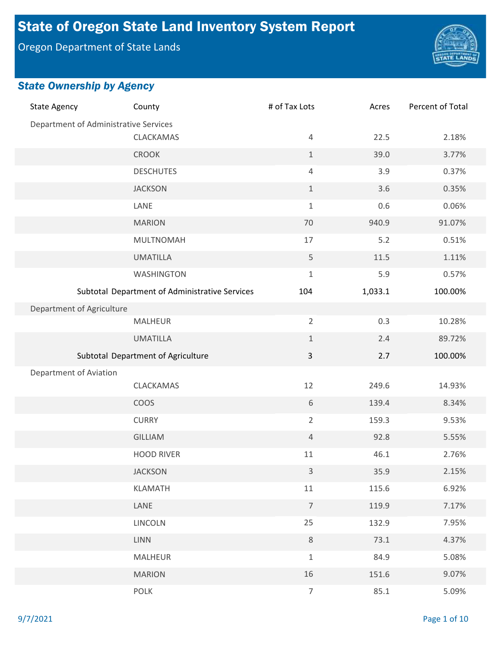# State of Oregon State Land Inventory System Report

Oregon Department of State Lands



| <b>State Agency</b>                   | County                                         | # of Tax Lots  | Acres   | Percent of Total |
|---------------------------------------|------------------------------------------------|----------------|---------|------------------|
| Department of Administrative Services |                                                |                |         |                  |
|                                       | CLACKAMAS                                      | $\overline{4}$ | 22.5    | 2.18%            |
|                                       | <b>CROOK</b>                                   | $\mathbf 1$    | 39.0    | 3.77%            |
|                                       | <b>DESCHUTES</b>                               | $\overline{4}$ | 3.9     | 0.37%            |
|                                       | <b>JACKSON</b>                                 | $\mathbf 1$    | 3.6     | 0.35%            |
|                                       | LANE                                           | $\mathbf{1}$   | 0.6     | 0.06%            |
|                                       | <b>MARION</b>                                  | 70             | 940.9   | 91.07%           |
|                                       | MULTNOMAH                                      | 17             | 5.2     | 0.51%            |
|                                       | <b>UMATILLA</b>                                | 5              | 11.5    | 1.11%            |
|                                       | WASHINGTON                                     | $\mathbf 1$    | 5.9     | 0.57%            |
|                                       | Subtotal Department of Administrative Services | 104            | 1,033.1 | 100.00%          |
| Department of Agriculture             |                                                |                |         |                  |
|                                       | <b>MALHEUR</b>                                 | $\overline{2}$ | 0.3     | 10.28%           |
|                                       | <b>UMATILLA</b>                                | $\mathbf{1}$   | 2.4     | 89.72%           |
|                                       | Subtotal Department of Agriculture             | $\mathsf{3}$   | 2.7     | 100.00%          |
| Department of Aviation                |                                                |                |         |                  |
|                                       | CLACKAMAS                                      | 12             | 249.6   | 14.93%           |
|                                       | COOS                                           | 6              | 139.4   | 8.34%            |
|                                       | <b>CURRY</b>                                   | $\overline{2}$ | 159.3   | 9.53%            |
|                                       | <b>GILLIAM</b>                                 | $\overline{4}$ | 92.8    | 5.55%            |
|                                       | <b>HOOD RIVER</b>                              | $11\,$         | 46.1    | 2.76%            |
|                                       | <b>JACKSON</b>                                 | 3              | 35.9    | 2.15%            |
|                                       | <b>KLAMATH</b>                                 | 11             | 115.6   | 6.92%            |
|                                       | LANE                                           | $\overline{7}$ | 119.9   | 7.17%            |
|                                       | LINCOLN                                        | 25             | 132.9   | 7.95%            |
|                                       | <b>LINN</b>                                    | $\,8\,$        | 73.1    | 4.37%            |
|                                       | MALHEUR                                        | $\mathbf 1$    | 84.9    | 5.08%            |
|                                       | <b>MARION</b>                                  | 16             | 151.6   | 9.07%            |
|                                       | <b>POLK</b>                                    | $\overline{7}$ | 85.1    | 5.09%            |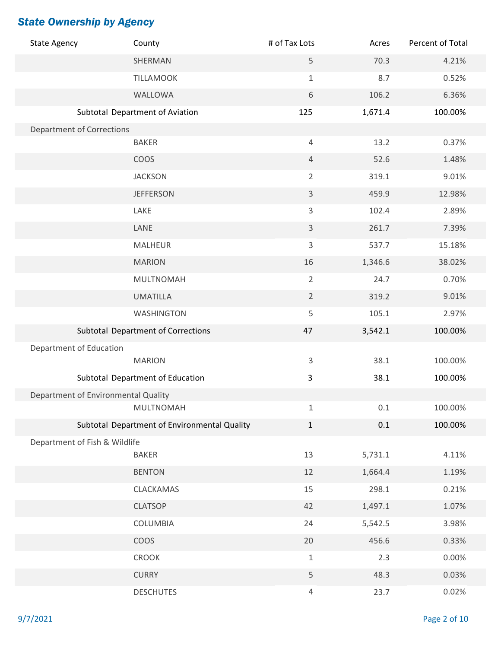| <b>State Agency</b>                 | County                                       | # of Tax Lots  | Acres   | Percent of Total |
|-------------------------------------|----------------------------------------------|----------------|---------|------------------|
|                                     | SHERMAN                                      | 5              | 70.3    | 4.21%            |
|                                     | <b>TILLAMOOK</b>                             | $\mathbf 1$    | 8.7     | 0.52%            |
|                                     | WALLOWA                                      | $\sqrt{6}$     | 106.2   | 6.36%            |
|                                     | Subtotal Department of Aviation              | 125            | 1,671.4 | 100.00%          |
| <b>Department of Corrections</b>    |                                              |                |         |                  |
|                                     | <b>BAKER</b>                                 | $\overline{4}$ | 13.2    | 0.37%            |
|                                     | COOS                                         | $\overline{4}$ | 52.6    | 1.48%            |
|                                     | <b>JACKSON</b>                               | $\overline{2}$ | 319.1   | 9.01%            |
|                                     | <b>JEFFERSON</b>                             | $\mathsf{3}$   | 459.9   | 12.98%           |
|                                     | LAKE                                         | $\overline{3}$ | 102.4   | 2.89%            |
|                                     | LANE                                         | $\overline{3}$ | 261.7   | 7.39%            |
|                                     | <b>MALHEUR</b>                               | $\mathsf{3}$   | 537.7   | 15.18%           |
|                                     | <b>MARION</b>                                | 16             | 1,346.6 | 38.02%           |
|                                     | MULTNOMAH                                    | $\overline{2}$ | 24.7    | 0.70%            |
|                                     | <b>UMATILLA</b>                              | $\overline{2}$ | 319.2   | 9.01%            |
|                                     | <b>WASHINGTON</b>                            | 5              | 105.1   | 2.97%            |
|                                     | <b>Subtotal Department of Corrections</b>    | 47             | 3,542.1 | 100.00%          |
| Department of Education             |                                              |                |         |                  |
|                                     | <b>MARION</b>                                | 3              | 38.1    | 100.00%          |
|                                     | Subtotal Department of Education             | 3              | 38.1    | 100.00%          |
| Department of Environmental Quality |                                              |                |         |                  |
|                                     | <b>MULTNOMAH</b>                             | $\mathbf 1$    | 0.1     | 100.00%          |
|                                     | Subtotal Department of Environmental Quality | $\mathbf{1}$   | 0.1     | 100.00%          |
| Department of Fish & Wildlife       | <b>BAKER</b>                                 | 13             | 5,731.1 | 4.11%            |
|                                     | <b>BENTON</b>                                | 12             | 1,664.4 | 1.19%            |
|                                     | CLACKAMAS                                    | 15             | 298.1   | 0.21%            |
|                                     | <b>CLATSOP</b>                               | 42             | 1,497.1 | 1.07%            |
|                                     | COLUMBIA                                     | 24             | 5,542.5 | 3.98%            |
|                                     | <b>COOS</b>                                  | $20\,$         | 456.6   | 0.33%            |
|                                     | <b>CROOK</b>                                 | $\mathbf 1$    | 2.3     | 0.00%            |
|                                     | <b>CURRY</b>                                 | 5              | 48.3    | 0.03%            |
|                                     |                                              |                |         |                  |
|                                     | <b>DESCHUTES</b>                             | $\overline{4}$ | 23.7    | 0.02%            |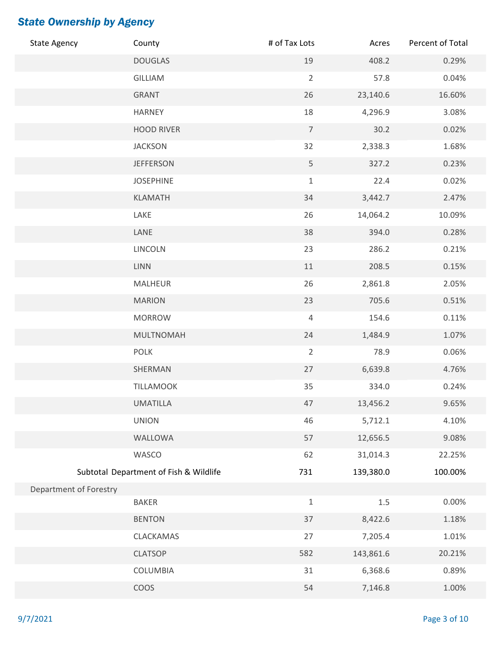| <b>State Agency</b>    | County                                 | # of Tax Lots  | Acres     | Percent of Total |
|------------------------|----------------------------------------|----------------|-----------|------------------|
|                        | <b>DOUGLAS</b>                         | 19             | 408.2     | 0.29%            |
|                        | GILLIAM                                | $\overline{2}$ | 57.8      | 0.04%            |
|                        | <b>GRANT</b>                           | 26             | 23,140.6  | 16.60%           |
|                        | <b>HARNEY</b>                          | 18             | 4,296.9   | 3.08%            |
|                        | <b>HOOD RIVER</b>                      | $\overline{7}$ | 30.2      | 0.02%            |
|                        | <b>JACKSON</b>                         | 32             | 2,338.3   | 1.68%            |
|                        | <b>JEFFERSON</b>                       | 5              | 327.2     | 0.23%            |
|                        | <b>JOSEPHINE</b>                       | $\,1\,$        | 22.4      | 0.02%            |
|                        | KLAMATH                                | 34             | 3,442.7   | 2.47%            |
|                        | LAKE                                   | 26             | 14,064.2  | 10.09%           |
|                        | LANE                                   | 38             | 394.0     | 0.28%            |
|                        | LINCOLN                                | 23             | 286.2     | 0.21%            |
|                        | <b>LINN</b>                            | 11             | 208.5     | 0.15%            |
|                        | <b>MALHEUR</b>                         | 26             | 2,861.8   | 2.05%            |
|                        | <b>MARION</b>                          | 23             | 705.6     | 0.51%            |
|                        | <b>MORROW</b>                          | $\overline{4}$ | 154.6     | 0.11%            |
|                        | MULTNOMAH                              | 24             | 1,484.9   | 1.07%            |
|                        | <b>POLK</b>                            | $\overline{2}$ | 78.9      | 0.06%            |
|                        | SHERMAN                                | 27             | 6,639.8   | 4.76%            |
|                        | <b>TILLAMOOK</b>                       | 35             | 334.0     | 0.24%            |
|                        | <b>UMATILLA</b>                        | 47             | 13,456.2  | 9.65%            |
|                        | <b>UNION</b>                           | 46             | 5,712.1   | 4.10%            |
|                        | WALLOWA                                | 57             | 12,656.5  | 9.08%            |
|                        | WASCO                                  | 62             | 31,014.3  | 22.25%           |
|                        | Subtotal Department of Fish & Wildlife | 731            | 139,380.0 | 100.00%          |
| Department of Forestry |                                        |                |           |                  |
|                        | <b>BAKER</b>                           | $\mathbf 1$    | $1.5\,$   | 0.00%            |
|                        | <b>BENTON</b>                          | 37             | 8,422.6   | 1.18%            |
|                        | CLACKAMAS                              | 27             | 7,205.4   | 1.01%            |
|                        | <b>CLATSOP</b>                         | 582            | 143,861.6 | 20.21%           |
|                        | COLUMBIA                               | 31             | 6,368.6   | 0.89%            |
|                        | COOS                                   | 54             | 7,146.8   | 1.00%            |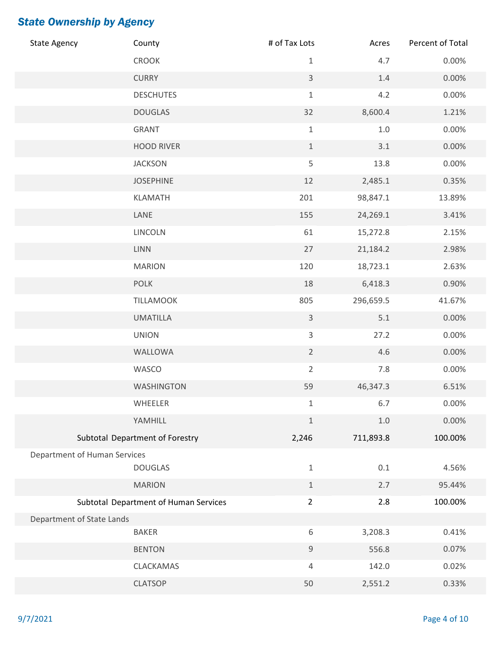| <b>State Agency</b>          | County                                | # of Tax Lots  | Acres     | Percent of Total |
|------------------------------|---------------------------------------|----------------|-----------|------------------|
|                              | CROOK                                 | $1\,$          | 4.7       | 0.00%            |
|                              | <b>CURRY</b>                          | $\mathsf{3}$   | 1.4       | 0.00%            |
|                              | <b>DESCHUTES</b>                      | $\,1\,$        | 4.2       | 0.00%            |
|                              | <b>DOUGLAS</b>                        | 32             | 8,600.4   | 1.21%            |
|                              | <b>GRANT</b>                          | $\,1\,$        | $1.0\,$   | 0.00%            |
|                              | <b>HOOD RIVER</b>                     | $\,1\,$        | 3.1       | 0.00%            |
|                              | <b>JACKSON</b>                        | 5              | 13.8      | 0.00%            |
|                              | <b>JOSEPHINE</b>                      | 12             | 2,485.1   | 0.35%            |
|                              | KLAMATH                               | 201            | 98,847.1  | 13.89%           |
|                              | LANE                                  | 155            | 24,269.1  | 3.41%            |
|                              | LINCOLN                               | 61             | 15,272.8  | 2.15%            |
|                              | <b>LINN</b>                           | 27             | 21,184.2  | 2.98%            |
|                              | <b>MARION</b>                         | 120            | 18,723.1  | 2.63%            |
|                              | <b>POLK</b>                           | 18             | 6,418.3   | 0.90%            |
|                              | TILLAMOOK                             | 805            | 296,659.5 | 41.67%           |
|                              | <b>UMATILLA</b>                       | $\mathsf{3}$   | 5.1       | 0.00%            |
|                              | <b>UNION</b>                          | 3              | 27.2      | 0.00%            |
|                              | WALLOWA                               | $\overline{2}$ | 4.6       | 0.00%            |
|                              | WASCO                                 | $\overline{2}$ | 7.8       | 0.00%            |
|                              | WASHINGTON                            | 59             | 46,347.3  | 6.51%            |
|                              | WHEELER                               | 1              | 6.7       | 0.00%            |
|                              | YAMHILL                               | $\,1\,$        | 1.0       | 0.00%            |
|                              | Subtotal Department of Forestry       | 2,246          | 711,893.8 | 100.00%          |
| Department of Human Services |                                       |                |           |                  |
|                              | <b>DOUGLAS</b>                        | $\mathbf 1$    | $0.1\,$   | 4.56%            |
|                              | <b>MARION</b>                         | $\,1\,$        | 2.7       | 95.44%           |
|                              | Subtotal Department of Human Services | $\overline{2}$ | 2.8       | 100.00%          |
| Department of State Lands    | <b>BAKER</b>                          | $\,6\,$        | 3,208.3   | 0.41%            |
|                              | <b>BENTON</b>                         | $\mathsf 9$    | 556.8     | 0.07%            |
|                              | CLACKAMAS                             | 4              | 142.0     | 0.02%            |
|                              |                                       |                |           |                  |
|                              | <b>CLATSOP</b>                        | 50             | 2,551.2   | 0.33%            |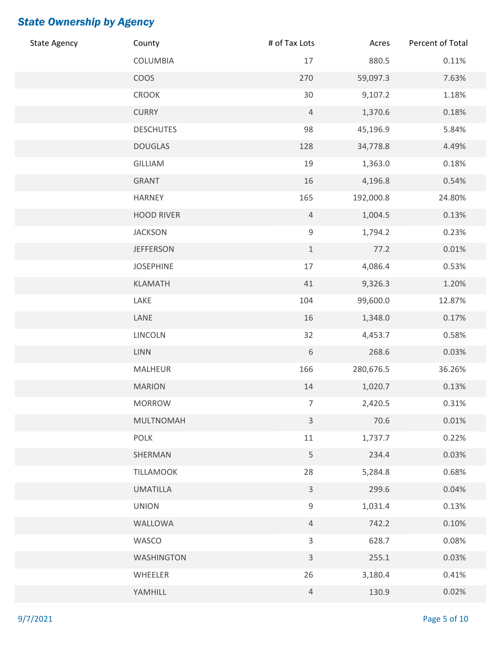| <b>State Agency</b> | County            | # of Tax Lots   | Acres     | Percent of Total |
|---------------------|-------------------|-----------------|-----------|------------------|
|                     | COLUMBIA          | 17              | 880.5     | 0.11%            |
|                     | <b>COOS</b>       | 270             | 59,097.3  | 7.63%            |
|                     | CROOK             | $30\,$          | 9,107.2   | 1.18%            |
|                     | <b>CURRY</b>      | $\overline{4}$  | 1,370.6   | 0.18%            |
|                     | <b>DESCHUTES</b>  | 98              | 45,196.9  | 5.84%            |
|                     | <b>DOUGLAS</b>    | 128             | 34,778.8  | 4.49%            |
|                     | GILLIAM           | 19              | 1,363.0   | 0.18%            |
|                     | GRANT             | 16              | 4,196.8   | 0.54%            |
|                     | <b>HARNEY</b>     | 165             | 192,000.8 | 24.80%           |
|                     | <b>HOOD RIVER</b> | $\overline{4}$  | 1,004.5   | 0.13%            |
|                     | <b>JACKSON</b>    | $\mathsf 9$     | 1,794.2   | 0.23%            |
|                     | <b>JEFFERSON</b>  | $1\,$           | 77.2      | 0.01%            |
|                     | <b>JOSEPHINE</b>  | 17              | 4,086.4   | 0.53%            |
|                     | KLAMATH           | 41              | 9,326.3   | 1.20%            |
|                     | LAKE              | 104             | 99,600.0  | 12.87%           |
|                     | LANE              | 16              | 1,348.0   | 0.17%            |
|                     | LINCOLN           | 32              | 4,453.7   | 0.58%            |
|                     | <b>LINN</b>       | $6\,$           | 268.6     | 0.03%            |
|                     | MALHEUR           | 166             | 280,676.5 | 36.26%           |
|                     | <b>MARION</b>     | 14              | 1,020.7   | 0.13%            |
|                     | <b>MORROW</b>     | $7\overline{ }$ | 2,420.5   | 0.31%            |
|                     | MULTNOMAH         | $\overline{3}$  | 70.6      | 0.01%            |
|                     | <b>POLK</b>       | $11\,$          | 1,737.7   | 0.22%            |
|                     | SHERMAN           | 5               | 234.4     | 0.03%            |
|                     | <b>TILLAMOOK</b>  | 28              | 5,284.8   | 0.68%            |
|                     | <b>UMATILLA</b>   | $\mathsf{3}$    | 299.6     | 0.04%            |
|                     | <b>UNION</b>      | $\mathsf 9$     | 1,031.4   | 0.13%            |
|                     | WALLOWA           | $\overline{4}$  | 742.2     | 0.10%            |
|                     | WASCO             | $\mathsf{3}$    | 628.7     | 0.08%            |
|                     | WASHINGTON        | $\mathsf{3}$    | 255.1     | 0.03%            |
|                     | WHEELER           | 26              | 3,180.4   | 0.41%            |
|                     | YAMHILL           | $\overline{4}$  | 130.9     | 0.02%            |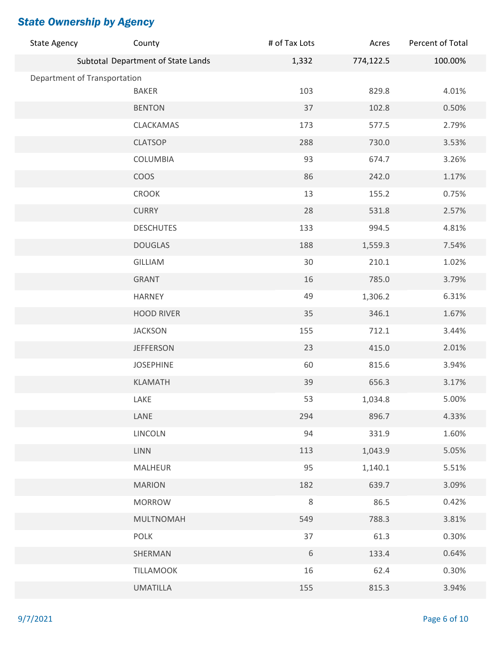| <b>State Agency</b>          | County                             | # of Tax Lots | Acres     | Percent of Total |
|------------------------------|------------------------------------|---------------|-----------|------------------|
|                              | Subtotal Department of State Lands | 1,332         | 774,122.5 | 100.00%          |
| Department of Transportation |                                    |               |           |                  |
|                              | <b>BAKER</b>                       | 103           | 829.8     | 4.01%            |
|                              | <b>BENTON</b>                      | 37            | 102.8     | 0.50%            |
|                              | CLACKAMAS                          | 173           | 577.5     | 2.79%            |
|                              | <b>CLATSOP</b>                     | 288           | 730.0     | 3.53%            |
|                              | COLUMBIA                           | 93            | 674.7     | 3.26%            |
|                              | COOS                               | 86            | 242.0     | 1.17%            |
|                              | CROOK                              | 13            | 155.2     | 0.75%            |
|                              | <b>CURRY</b>                       | 28            | 531.8     | 2.57%            |
|                              | <b>DESCHUTES</b>                   | 133           | 994.5     | 4.81%            |
|                              | <b>DOUGLAS</b>                     | 188           | 1,559.3   | 7.54%            |
|                              | GILLIAM                            | 30            | 210.1     | 1.02%            |
|                              | <b>GRANT</b>                       | 16            | 785.0     | 3.79%            |
|                              | <b>HARNEY</b>                      | 49            | 1,306.2   | 6.31%            |
|                              | <b>HOOD RIVER</b>                  | 35            | 346.1     | 1.67%            |
|                              | <b>JACKSON</b>                     | 155           | 712.1     | 3.44%            |
|                              | <b>JEFFERSON</b>                   | 23            | 415.0     | 2.01%            |
|                              | <b>JOSEPHINE</b>                   | 60            | 815.6     | 3.94%            |
|                              | <b>KLAMATH</b>                     | 39            | 656.3     | 3.17%            |
|                              | LAKE                               | 53            | 1,034.8   | 5.00%            |
|                              | LANE                               | 294           | 896.7     | 4.33%            |
|                              | LINCOLN                            | 94            | 331.9     | 1.60%            |
|                              | <b>LINN</b>                        | 113           | 1,043.9   | 5.05%            |
|                              | <b>MALHEUR</b>                     | 95            | 1,140.1   | 5.51%            |
|                              | <b>MARION</b>                      | 182           | 639.7     | 3.09%            |
|                              | <b>MORROW</b>                      | $\,8\,$       | 86.5      | 0.42%            |
|                              | MULTNOMAH                          | 549           | 788.3     | 3.81%            |
|                              | <b>POLK</b>                        | 37            | 61.3      | 0.30%            |
|                              | SHERMAN                            | $6\,$         | 133.4     | 0.64%            |
|                              | TILLAMOOK                          | 16            | 62.4      | 0.30%            |
|                              | <b>UMATILLA</b>                    | 155           | 815.3     | 3.94%            |
|                              |                                    |               |           |                  |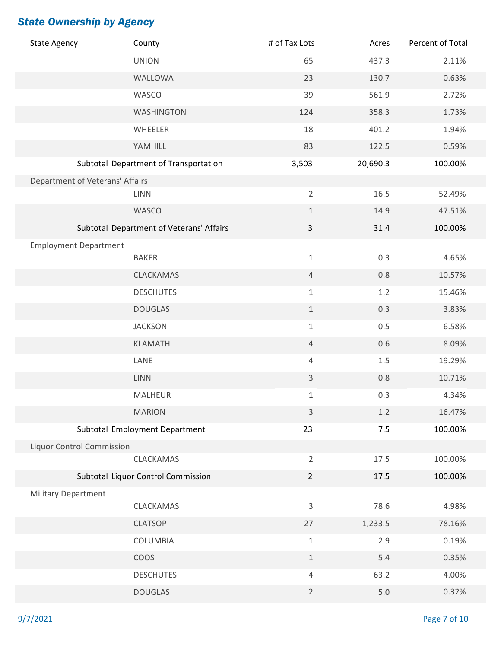| <b>State Agency</b>              | County                                   | # of Tax Lots  | Acres    | Percent of Total |
|----------------------------------|------------------------------------------|----------------|----------|------------------|
|                                  | <b>UNION</b>                             | 65             | 437.3    | 2.11%            |
|                                  | WALLOWA                                  | 23             | 130.7    | 0.63%            |
|                                  | WASCO                                    | 39             | 561.9    | 2.72%            |
|                                  | WASHINGTON                               | 124            | 358.3    | 1.73%            |
|                                  | WHEELER                                  | 18             | 401.2    | 1.94%            |
|                                  | YAMHILL                                  | 83             | 122.5    | 0.59%            |
|                                  | Subtotal Department of Transportation    | 3,503          | 20,690.3 | 100.00%          |
| Department of Veterans' Affairs  |                                          |                |          |                  |
|                                  | <b>LINN</b>                              | $\overline{2}$ | 16.5     | 52.49%           |
|                                  | WASCO                                    | $\mathbf 1$    | 14.9     | 47.51%           |
|                                  | Subtotal Department of Veterans' Affairs | $\mathbf{3}$   | 31.4     | 100.00%          |
| <b>Employment Department</b>     |                                          |                |          |                  |
|                                  | <b>BAKER</b>                             | $\mathbf 1$    | 0.3      | 4.65%            |
|                                  | CLACKAMAS                                | $\overline{4}$ | 0.8      | 10.57%           |
|                                  | <b>DESCHUTES</b>                         | $\mathbf 1$    | 1.2      | 15.46%           |
|                                  | <b>DOUGLAS</b>                           | $1\,$          | 0.3      | 3.83%            |
|                                  | <b>JACKSON</b>                           | $\mathbf 1$    | 0.5      | 6.58%            |
|                                  | KLAMATH                                  | $\overline{4}$ | 0.6      | 8.09%            |
|                                  | LANE                                     | 4              | $1.5\,$  | 19.29%           |
|                                  | <b>LINN</b>                              | $\mathsf{3}$   | 0.8      | 10.71%           |
|                                  | <b>MALHEUR</b>                           | $\mathbf 1$    | 0.3      | 4.34%            |
|                                  | <b>MARION</b>                            | $\overline{3}$ | $1.2$    | 16.47%           |
|                                  | Subtotal Employment Department           | 23             | 7.5      | 100.00%          |
| <b>Liquor Control Commission</b> |                                          |                |          |                  |
|                                  | CLACKAMAS                                | $\overline{2}$ | 17.5     | 100.00%          |
|                                  | Subtotal Liquor Control Commission       | $\overline{2}$ | 17.5     | 100.00%          |
| <b>Military Department</b>       |                                          |                |          |                  |
|                                  | CLACKAMAS                                | 3              | 78.6     | 4.98%            |
|                                  | <b>CLATSOP</b>                           | 27             | 1,233.5  | 78.16%           |
|                                  | COLUMBIA                                 | $\mathbf 1$    | 2.9      | 0.19%            |
|                                  | <b>COOS</b>                              | $\mathbf 1$    | 5.4      | 0.35%            |
|                                  | <b>DESCHUTES</b>                         | $\overline{4}$ | 63.2     | 4.00%            |
|                                  | <b>DOUGLAS</b>                           | $\overline{2}$ | $5.0$    | 0.32%            |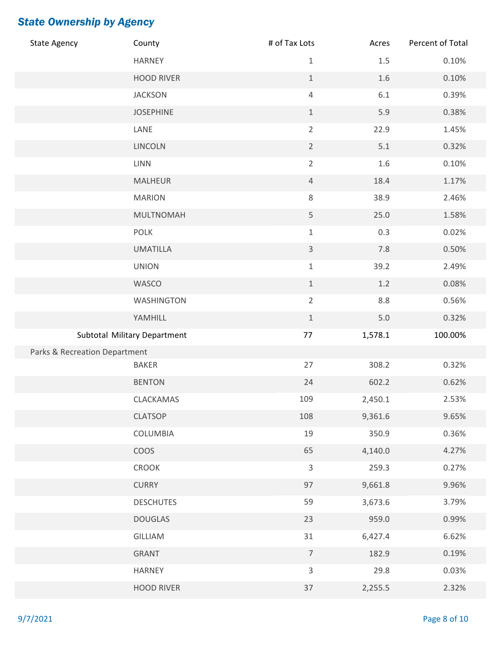| <b>State Agency</b>           | County                       | # of Tax Lots  | Acres   | Percent of Total |
|-------------------------------|------------------------------|----------------|---------|------------------|
|                               | <b>HARNEY</b>                | $1\,$          | $1.5\,$ | 0.10%            |
|                               | <b>HOOD RIVER</b>            | $\mathbf 1$    | $1.6\,$ | 0.10%            |
|                               | <b>JACKSON</b>               | $\sqrt{4}$     | $6.1\,$ | 0.39%            |
|                               | <b>JOSEPHINE</b>             | $\mathbf 1$    | 5.9     | 0.38%            |
|                               | LANE                         | $\overline{2}$ | 22.9    | 1.45%            |
|                               | LINCOLN                      | $\overline{2}$ | 5.1     | 0.32%            |
|                               | <b>LINN</b>                  | $\overline{2}$ | 1.6     | 0.10%            |
|                               | <b>MALHEUR</b>               | $\overline{4}$ | 18.4    | 1.17%            |
|                               | <b>MARION</b>                | $\,8\,$        | 38.9    | 2.46%            |
|                               | <b>MULTNOMAH</b>             | 5              | 25.0    | 1.58%            |
|                               | <b>POLK</b>                  | $\mathbf 1$    | 0.3     | 0.02%            |
|                               | <b>UMATILLA</b>              | $\mathsf{3}$   | $7.8$   | 0.50%            |
|                               | <b>UNION</b>                 | $1\,$          | 39.2    | 2.49%            |
|                               | WASCO                        | $\mathbf 1$    | $1.2\,$ | 0.08%            |
|                               | WASHINGTON                   | $\overline{2}$ | 8.8     | 0.56%            |
|                               | YAMHILL                      | $\,1\,$        | $5.0$   | 0.32%            |
|                               | Subtotal Military Department | $77$           | 1,578.1 | 100.00%          |
| Parks & Recreation Department |                              |                |         |                  |
|                               | <b>BAKER</b>                 | 27             | 308.2   | 0.32%            |
|                               | <b>BENTON</b>                | 24             | 602.2   | 0.62%            |
|                               | CLACKAMAS                    | 109            | 2,450.1 | 2.53%            |
|                               | <b>CLATSOP</b>               | 108            | 9,361.6 | 9.65%            |
|                               | COLUMBIA                     | 19             | 350.9   | 0.36%            |
|                               | COOS                         | 65             | 4,140.0 | 4.27%            |
|                               | CROOK                        | $\overline{3}$ | 259.3   | 0.27%            |
|                               | <b>CURRY</b>                 | 97             | 9,661.8 | 9.96%            |
|                               | <b>DESCHUTES</b>             | 59             | 3,673.6 | 3.79%            |
|                               | <b>DOUGLAS</b>               | 23             | 959.0   | 0.99%            |
|                               | GILLIAM                      | 31             | 6,427.4 | 6.62%            |
|                               | <b>GRANT</b>                 | $\overline{7}$ | 182.9   | 0.19%            |
|                               | <b>HARNEY</b>                | $\mathsf{3}$   | 29.8    | 0.03%            |
|                               | <b>HOOD RIVER</b>            | 37             | 2,255.5 | 2.32%            |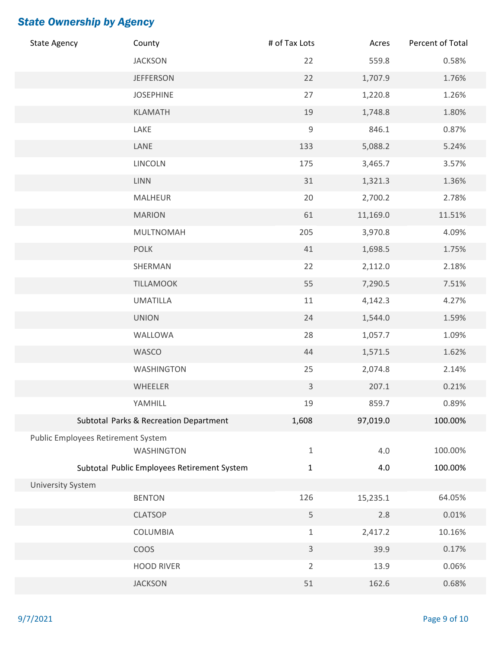| <b>State Agency</b>                | County                                      | # of Tax Lots | Acres    | Percent of Total |
|------------------------------------|---------------------------------------------|---------------|----------|------------------|
|                                    | <b>JACKSON</b>                              | 22            | 559.8    | 0.58%            |
|                                    | <b>JEFFERSON</b>                            | 22            | 1,707.9  | 1.76%            |
|                                    | <b>JOSEPHINE</b>                            | 27            | 1,220.8  | 1.26%            |
|                                    | <b>KLAMATH</b>                              | 19            | 1,748.8  | 1.80%            |
|                                    | LAKE                                        | $\mathsf 9$   | 846.1    | 0.87%            |
|                                    | LANE                                        | 133           | 5,088.2  | 5.24%            |
|                                    | LINCOLN                                     | 175           | 3,465.7  | 3.57%            |
|                                    | <b>LINN</b>                                 | 31            | 1,321.3  | 1.36%            |
|                                    | MALHEUR                                     | 20            | 2,700.2  | 2.78%            |
|                                    | <b>MARION</b>                               | 61            | 11,169.0 | 11.51%           |
|                                    | <b>MULTNOMAH</b>                            | 205           | 3,970.8  | 4.09%            |
|                                    | <b>POLK</b>                                 | $41\,$        | 1,698.5  | 1.75%            |
|                                    | SHERMAN                                     | 22            | 2,112.0  | 2.18%            |
|                                    | <b>TILLAMOOK</b>                            | 55            | 7,290.5  | 7.51%            |
|                                    | <b>UMATILLA</b>                             | $11\,$        | 4,142.3  | 4.27%            |
|                                    | <b>UNION</b>                                | 24            | 1,544.0  | 1.59%            |
|                                    | WALLOWA                                     | 28            | 1,057.7  | 1.09%            |
|                                    | WASCO                                       | 44            | 1,571.5  | 1.62%            |
|                                    | WASHINGTON                                  | 25            | 2,074.8  | 2.14%            |
|                                    | WHEELER                                     | $\mathsf{3}$  | 207.1    | 0.21%            |
|                                    | YAMHILL                                     | 19            | 859.7    | 0.89%            |
|                                    | Subtotal Parks & Recreation Department      | 1,608         | 97,019.0 | 100.00%          |
| Public Employees Retirement System |                                             |               |          |                  |
|                                    | <b>WASHINGTON</b>                           | $\mathbf{1}$  | 4.0      | 100.00%          |
|                                    | Subtotal Public Employees Retirement System | $\mathbf{1}$  | 4.0      | 100.00%          |
| <b>University System</b>           |                                             |               |          |                  |
|                                    | <b>BENTON</b>                               | 126           | 15,235.1 | 64.05%           |
|                                    | <b>CLATSOP</b>                              | 5             | 2.8      | 0.01%            |
|                                    | COLUMBIA                                    | $\mathbf{1}$  | 2,417.2  | 10.16%           |
|                                    | COOS                                        | $\mathsf{3}$  | 39.9     | 0.17%            |
|                                    | <b>HOOD RIVER</b>                           | 2             | 13.9     | 0.06%            |
|                                    | <b>JACKSON</b>                              | 51            | 162.6    | 0.68%            |